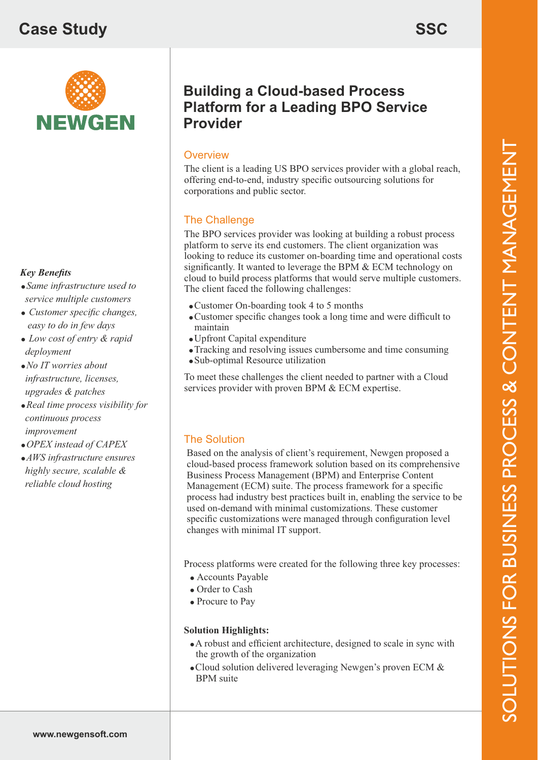# **Case Study**



#### *Key Benefits*

- *Same infrastructure used to service multiple customers*
- *Customer specific changes, easy to do in few days*
- *Low cost of entry & rapid deployment*
- *No IT worries about infrastructure, licenses, upgrades & patches*
- *Real time process visibility for continuous process improvement*
- *OPEX instead of CAPEX*
- *AWS infrastructure ensures highly secure, scalable & reliable cloud hosting*

## **Building a Cloud-based Process Platform for a Leading BPO Service Provider**

### **Overview**

The client is a leading US BPO services provider with a global reach, offering end-to-end, industry specific outsourcing solutions for corporations and public sector.

#### The Challenge

The BPO services provider was looking at building a robust process platform to serve its end customers. The client organization was looking to reduce its customer on-boarding time and operational costs significantly. It wanted to leverage the BPM & ECM technology on cloud to build process platforms that would serve multiple customers. The client faced the following challenges:

- Customer On-boarding took 4 to 5 months
- Customer specific changes took a long time and were difficult to maintain
- Upfront Capital expenditure
- Tracking and resolving issues cumbersome and time consuming
- Sub-optimal Resource utilization

To meet these challenges the client needed to partner with a Cloud services provider with proven BPM & ECM expertise.

### The Solution

Based on the analysis of client's requirement, Newgen proposed a cloud-based process framework solution based on its comprehensive Business Process Management (BPM) and Enterprise Content Management (ECM) suite. The process framework for a specific process had industry best practices built in, enabling the service to be used on-demand with minimal customizations. These customer specific customizations were managed through configuration level changes with minimal IT support.

Process platforms were created for the following three key processes:

- Accounts Payable
- Order to Cash
- Procure to Pay

#### **Solution Highlights:**

- A robust and efficient architecture, designed to scale in sync with the growth of the organization
- Cloud solution delivered leveraging Newgen's proven ECM & BPM suite